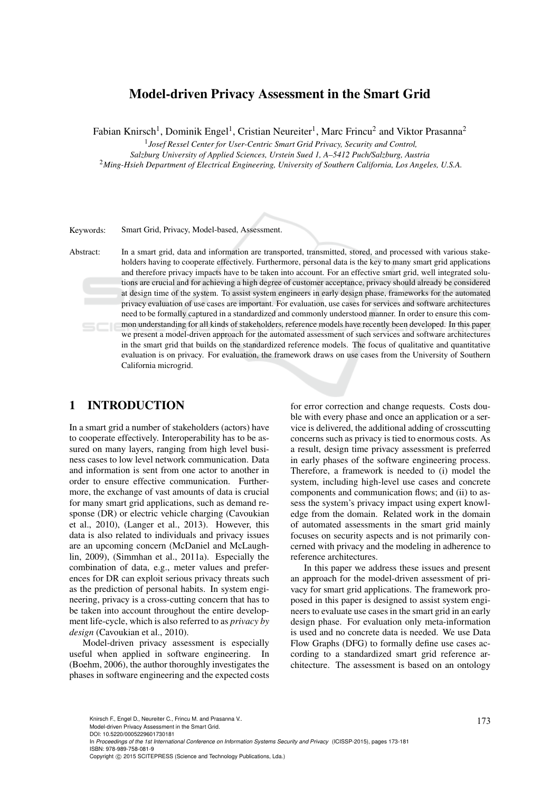## Model-driven Privacy Assessment in the Smart Grid

Fabian Knirsch<sup>1</sup>, Dominik Engel<sup>1</sup>, Cristian Neureiter<sup>1</sup>, Marc Frincu<sup>2</sup> and Viktor Prasanna<sup>2</sup>

1 *Josef Ressel Center for User-Centric Smart Grid Privacy, Security and Control,*

*Salzburg University of Applied Sciences, Urstein Sued 1, A–5412 Puch/Salzburg, Austria* <sup>2</sup>*Ming-Hsieh Department of Electrical Engineering, University of Southern California, Los Angeles, U.S.A.*

Keywords: Smart Grid, Privacy, Model-based, Assessment.

Abstract: In a smart grid, data and information are transported, transmitted, stored, and processed with various stakeholders having to cooperate effectively. Furthermore, personal data is the key to many smart grid applications and therefore privacy impacts have to be taken into account. For an effective smart grid, well integrated solutions are crucial and for achieving a high degree of customer acceptance, privacy should already be considered at design time of the system. To assist system engineers in early design phase, frameworks for the automated privacy evaluation of use cases are important. For evaluation, use cases for services and software architectures need to be formally captured in a standardized and commonly understood manner. In order to ensure this common understanding for all kinds of stakeholders, reference models have recently been developed. In this paper we present a model-driven approach for the automated assessment of such services and software architectures in the smart grid that builds on the standardized reference models. The focus of qualitative and quantitative evaluation is on privacy. For evaluation, the framework draws on use cases from the University of Southern California microgrid.

# 1 INTRODUCTION

In a smart grid a number of stakeholders (actors) have to cooperate effectively. Interoperability has to be assured on many layers, ranging from high level business cases to low level network communication. Data and information is sent from one actor to another in order to ensure effective communication. Furthermore, the exchange of vast amounts of data is crucial for many smart grid applications, such as demand response (DR) or electric vehicle charging (Cavoukian et al., 2010), (Langer et al., 2013). However, this data is also related to individuals and privacy issues are an upcoming concern (McDaniel and McLaughlin, 2009), (Simmhan et al., 2011a). Especially the combination of data, e.g., meter values and preferences for DR can exploit serious privacy threats such as the prediction of personal habits. In system engineering, privacy is a cross-cutting concern that has to be taken into account throughout the entire development life-cycle, which is also referred to as *privacy by design* (Cavoukian et al., 2010).

Model-driven privacy assessment is especially useful when applied in software engineering. In (Boehm, 2006), the author thoroughly investigates the phases in software engineering and the expected costs

for error correction and change requests. Costs double with every phase and once an application or a service is delivered, the additional adding of crosscutting concerns such as privacy is tied to enormous costs. As a result, design time privacy assessment is preferred in early phases of the software engineering process. Therefore, a framework is needed to (i) model the system, including high-level use cases and concrete components and communication flows; and (ii) to assess the system's privacy impact using expert knowledge from the domain. Related work in the domain of automated assessments in the smart grid mainly focuses on security aspects and is not primarily concerned with privacy and the modeling in adherence to reference architectures.

In this paper we address these issues and present an approach for the model-driven assessment of privacy for smart grid applications. The framework proposed in this paper is designed to assist system engineers to evaluate use cases in the smart grid in an early design phase. For evaluation only meta-information is used and no concrete data is needed. We use Data Flow Graphs (DFG) to formally define use cases according to a standardized smart grid reference architecture. The assessment is based on an ontology

173 Knirsch F., Engel D., Neureiter C., Frincu M. and Prasanna V..

Model-driven Privacy Assessment in the Smart Grid. DOI: 10.5220/0005229601730181

In *Proceedings of the 1st International Conference on Information Systems Security and Privacy* (ICISSP-2015), pages 173-181 ISBN: 978-989-758-081-9

Copyright © 2015 SCITEPRESS (Science and Technology Publications, Lda.)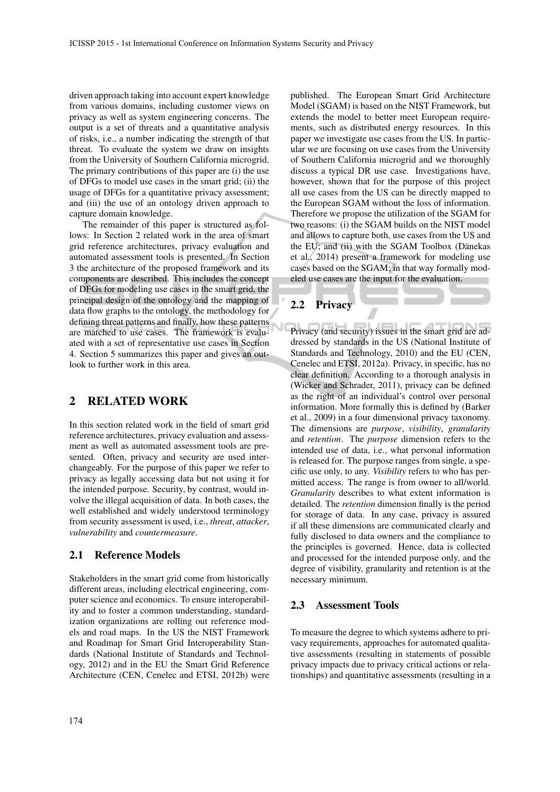driven approach taking into account expert knowledge from various domains, including customer views on privacy as well as system engineering concerns. The output is a set of threats and a quantitative analysis of risks, i.e., a number indicating the strength of that threat. To evaluate the system we draw on insights from the University of Southern California microgrid. The primary contributions of this paper are (i) the use of DFGs to model use cases in the smart grid; (ii) the usage of DFGs for a quantitative privacy assessment; and (iii) the use of an ontology driven approach to capture domain knowledge.

The remainder of this paper is structured as follows: In Section 2 related work in the area of smart grid reference architectures, privacy evaluation and automated assessment tools is presented. In Section 3 the architecture of the proposed framework and its components are described. This includes the concept of DFGs for modeling use cases in the smart grid, the principal design of the ontology and the mapping of data flow graphs to the ontology, the methodology for defining threat patterns and finally, how these patterns are matched to use cases. The framework is evaluated with a set of representative use cases in Section 4. Section 5 summarizes this paper and gives an outlook to further work in this area.

### 2 RELATED WORK

In this section related work in the field of smart grid reference architectures, privacy evaluation and assessment as well as automated assessment tools are presented. Often, privacy and security are used interchangeably. For the purpose of this paper we refer to privacy as legally accessing data but not using it for the intended purpose. Security, by contrast, would involve the illegal acquisition of data. In both cases, the well established and widely understood terminology from security assessment is used, i.e., *threat*, *attacker*, *vulnerability* and *countermeasure*.

### 2.1 Reference Models

Stakeholders in the smart grid come from historically different areas, including electrical engineering, computer science and economics. To ensure interoperability and to foster a common understanding, standardization organizations are rolling out reference models and road maps. In the US the NIST Framework and Roadmap for Smart Grid Interoperability Standards (National Institute of Standards and Technology, 2012) and in the EU the Smart Grid Reference Architecture (CEN, Cenelec and ETSI, 2012b) were

published. The European Smart Grid Architecture Model (SGAM) is based on the NIST Framework, but extends the model to better meet European requirements, such as distributed energy resources. In this paper we investigate use cases from the US. In particular we are focusing on use cases from the University of Southern California microgrid and we thoroughly discuss a typical DR use case. Investigations have, however, shown that for the purpose of this project all use cases from the US can be directly mapped to the European SGAM without the loss of information. Therefore we propose the utilization of the SGAM for two reasons: (i) the SGAM builds on the NIST model and allows to capture both, use cases from the US and the EU; and (ii) with the SGAM Toolbox (Dänekas et al., 2014) present a framework for modeling use cases based on the SGAM; in that way formally modeled use cases are the input for the evaluation.

#### 2.2 Privacy

Privacy (and security) issues in the smart grid are addressed by standards in the US (National Institute of Standards and Technology, 2010) and the EU (CEN, Cenelec and ETSI, 2012a). Privacy, in specific, has no clear definition. According to a thorough analysis in (Wicker and Schrader, 2011), privacy can be defined as the right of an individual's control over personal information. More formally this is defined by (Barker et al., 2009) in a four dimensional privacy taxonomy. The dimensions are *purpose*, *visibility*, *granularity* and *retention*. The *purpose* dimension refers to the intended use of data, i.e., what personal information is released for. The purpose ranges from single, a specific use only, to any. *Visibility* refers to who has permitted access. The range is from owner to all/world. *Granularity* describes to what extent information is detailed. The *retention* dimension finally is the period for storage of data. In any case, privacy is assured if all these dimensions are communicated clearly and fully disclosed to data owners and the compliance to the principles is governed. Hence, data is collected and processed for the intended purpose only, and the degree of visibility, granularity and retention is at the necessary minimum.

#### 2.3 Assessment Tools

To measure the degree to which systems adhere to privacy requirements, approaches for automated qualitative assessments (resulting in statements of possible privacy impacts due to privacy critical actions or relationships) and quantitative assessments (resulting in a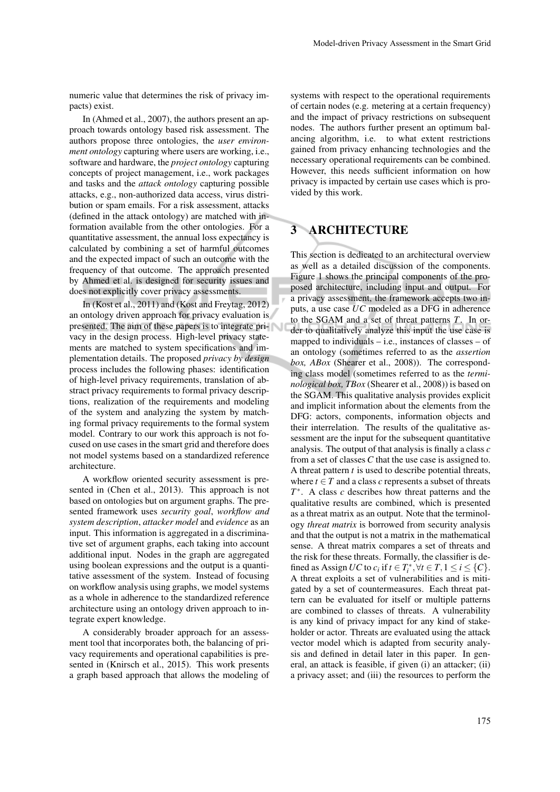numeric value that determines the risk of privacy impacts) exist.

In (Ahmed et al., 2007), the authors present an approach towards ontology based risk assessment. The authors propose three ontologies, the *user environment ontology* capturing where users are working, i.e., software and hardware, the *project ontology* capturing concepts of project management, i.e., work packages and tasks and the *attack ontology* capturing possible attacks, e.g., non-authorized data access, virus distribution or spam emails. For a risk assessment, attacks (defined in the attack ontology) are matched with information available from the other ontologies. For a quantitative assessment, the annual loss expectancy is calculated by combining a set of harmful outcomes and the expected impact of such an outcome with the frequency of that outcome. The approach presented by Ahmed et al. is designed for security issues and does not explicitly cover privacy assessments.

In (Kost et al., 2011) and (Kost and Freytag, 2012) an ontology driven approach for privacy evaluation is presented. The aim of these papers is to integrate privacy in the design process. High-level privacy statements are matched to system specifications and implementation details. The proposed *privacy by design* process includes the following phases: identification of high-level privacy requirements, translation of abstract privacy requirements to formal privacy descriptions, realization of the requirements and modeling of the system and analyzing the system by matching formal privacy requirements to the formal system model. Contrary to our work this approach is not focused on use cases in the smart grid and therefore does not model systems based on a standardized reference architecture.

A workflow oriented security assessment is presented in (Chen et al., 2013). This approach is not based on ontologies but on argument graphs. The presented framework uses *security goal*, *workflow and system description*, *attacker model* and *evidence* as an input. This information is aggregated in a discriminative set of argument graphs, each taking into account additional input. Nodes in the graph are aggregated using boolean expressions and the output is a quantitative assessment of the system. Instead of focusing on workflow analysis using graphs, we model systems as a whole in adherence to the standardized reference architecture using an ontology driven approach to integrate expert knowledge.

A considerably broader approach for an assessment tool that incorporates both, the balancing of privacy requirements and operational capabilities is presented in (Knirsch et al., 2015). This work presents a graph based approach that allows the modeling of

systems with respect to the operational requirements of certain nodes (e.g. metering at a certain frequency) and the impact of privacy restrictions on subsequent nodes. The authors further present an optimum balancing algorithm, i.e. to what extent restrictions gained from privacy enhancing technologies and the necessary operational requirements can be combined. However, this needs sufficient information on how privacy is impacted by certain use cases which is provided by this work.

## **ARCHITECTURE**

This section is dedicated to an architectural overview as well as a detailed discussion of the components. Figure 1 shows the principal components of the proposed architecture, including input and output. For a privacy assessment, the framework accepts two inputs, a use case *UC* modeled as a DFG in adherence to the SGAM and a set of threat patterns *T*. In order to qualitatively analyze this input the use case is mapped to individuals  $-$  i.e., instances of classes  $-$  of an ontology (sometimes referred to as the *assertion box, ABox* (Shearer et al., 2008)). The corresponding class model (sometimes referred to as the *terminological box, TBox* (Shearer et al., 2008)) is based on the SGAM. This qualitative analysis provides explicit and implicit information about the elements from the DFG: actors, components, information objects and their interrelation. The results of the qualitative assessment are the input for the subsequent quantitative analysis. The output of that analysis is finally a class *c* from a set of classes *C* that the use case is assigned to. A threat pattern *t* is used to describe potential threats, where  $t \in T$  and a class  $c$  represents a subset of threats *T* ∗ . A class *c* describes how threat patterns and the qualitative results are combined, which is presented as a threat matrix as an output. Note that the terminology *threat matrix* is borrowed from security analysis and that the output is not a matrix in the mathematical sense. A threat matrix compares a set of threats and the risk for these threats. Formally, the classifier is defined as Assign *UC* to  $c_i$  if  $t \in T_i^*$ ,  $\forall t \in T, 1 \le i \le \{C\}$ . A threat exploits a set of vulnerabilities and is mitigated by a set of countermeasures. Each threat pattern can be evaluated for itself or multiple patterns are combined to classes of threats. A vulnerability is any kind of privacy impact for any kind of stakeholder or actor. Threats are evaluated using the attack vector model which is adapted from security analysis and defined in detail later in this paper. In general, an attack is feasible, if given (i) an attacker; (ii) a privacy asset; and (iii) the resources to perform the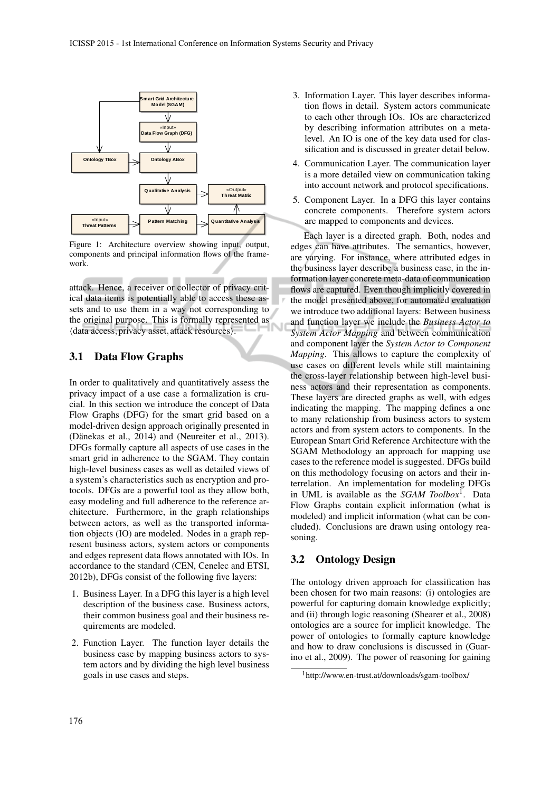

Figure 1: Architecture overview showing input, output, components and principal information flows of the framework.

attack. Hence, a receiver or collector of privacy critical data items is potentially able to access these assets and to use them in a way not corresponding to the original purpose. This is formally represented as  $\langle$  data access, privacy asset, attack resources $\rangle$ .

N

### 3.1 Data Flow Graphs

In order to qualitatively and quantitatively assess the privacy impact of a use case a formalization is crucial. In this section we introduce the concept of Data Flow Graphs (DFG) for the smart grid based on a model-driven design approach originally presented in (Dänekas et al., 2014) and (Neureiter et al., 2013). DFGs formally capture all aspects of use cases in the smart grid in adherence to the SGAM. They contain high-level business cases as well as detailed views of a system's characteristics such as encryption and protocols. DFGs are a powerful tool as they allow both, easy modeling and full adherence to the reference architecture. Furthermore, in the graph relationships between actors, as well as the transported information objects (IO) are modeled. Nodes in a graph represent business actors, system actors or components and edges represent data flows annotated with IOs. In accordance to the standard (CEN, Cenelec and ETSI, 2012b), DFGs consist of the following five layers:

- 1. Business Layer. In a DFG this layer is a high level description of the business case. Business actors, their common business goal and their business requirements are modeled.
- 2. Function Layer. The function layer details the business case by mapping business actors to system actors and by dividing the high level business goals in use cases and steps.
- 3. Information Layer. This layer describes information flows in detail. System actors communicate to each other through IOs. IOs are characterized by describing information attributes on a metalevel. An IO is one of the key data used for classification and is discussed in greater detail below.
- 4. Communication Layer. The communication layer is a more detailed view on communication taking into account network and protocol specifications.
- 5. Component Layer. In a DFG this layer contains concrete components. Therefore system actors are mapped to components and devices.

Each layer is a directed graph. Both, nodes and edges can have attributes. The semantics, however, are varying. For instance, where attributed edges in the business layer describe a business case, in the information layer concrete meta-data of communication flows are captured. Even though implicitly covered in the model presented above, for automated evaluation we introduce two additional layers: Between business and function layer we include the *Business Actor to System Actor Mapping* and between communication and component layer the *System Actor to Component Mapping*. This allows to capture the complexity of use cases on different levels while still maintaining the cross-layer relationship between high-level business actors and their representation as components. These layers are directed graphs as well, with edges indicating the mapping. The mapping defines a one to many relationship from business actors to system actors and from system actors to components. In the European Smart Grid Reference Architecture with the SGAM Methodology an approach for mapping use cases to the reference model is suggested. DFGs build on this methodology focusing on actors and their interrelation. An implementation for modeling DFGs in UML is available as the *SGAM Toolbox*<sup>1</sup> . Data Flow Graphs contain explicit information (what is modeled) and implicit information (what can be concluded). Conclusions are drawn using ontology reasoning.

#### 3.2 Ontology Design

The ontology driven approach for classification has been chosen for two main reasons: (i) ontologies are powerful for capturing domain knowledge explicitly; and (ii) through logic reasoning (Shearer et al., 2008) ontologies are a source for implicit knowledge. The power of ontologies to formally capture knowledge and how to draw conclusions is discussed in (Guarino et al., 2009). The power of reasoning for gaining

<sup>1</sup>http://www.en-trust.at/downloads/sgam-toolbox/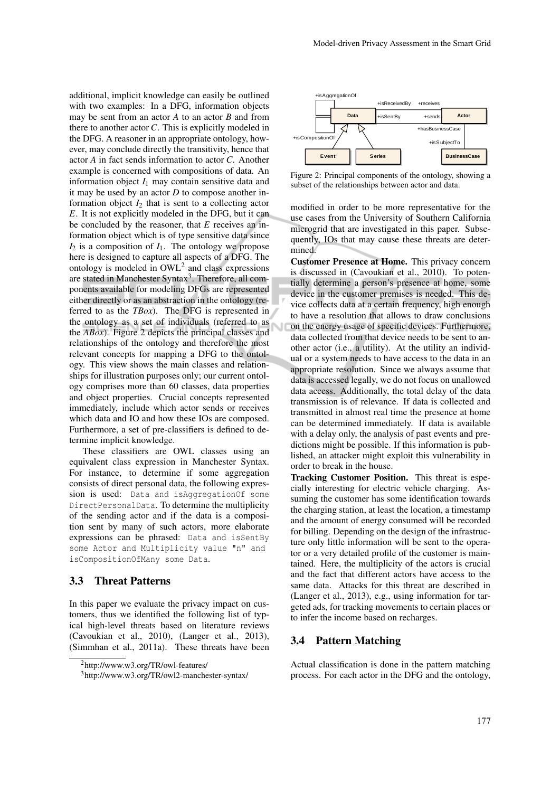additional, implicit knowledge can easily be outlined with two examples: In a DFG, information objects may be sent from an actor *A* to an actor *B* and from there to another actor *C*. This is explicitly modeled in the DFG. A reasoner in an appropriate ontology, however, may conclude directly the transitivity, hence that actor *A* in fact sends information to actor *C*. Another example is concerned with compositions of data. An information object  $I_1$  may contain sensitive data and it may be used by an actor *D* to compose another information object  $I_2$  that is sent to a collecting actor *E*. It is not explicitly modeled in the DFG, but it can be concluded by the reasoner, that *E* receives an information object which is of type sensitive data since  $I_2$  is a composition of  $I_1$ . The ontology we propose here is designed to capture all aspects of a DFG. The ontology is modeled in  $\text{OWL}^2$  and class expressions are stated in Manchester Syntax<sup>3</sup>. Therefore, all components available for modeling DFGs are represented either directly or as an abstraction in the ontology (referred to as the *TBox*). The DFG is represented in the ontology as a set of individuals (referred to as the *ABox*). Figure 2 depicts the principal classes and relationships of the ontology and therefore the most relevant concepts for mapping a DFG to the ontology. This view shows the main classes and relationships for illustration purposes only; our current ontology comprises more than 60 classes, data properties and object properties. Crucial concepts represented immediately, include which actor sends or receives which data and IO and how these IOs are composed. Furthermore, a set of pre-classifiers is defined to determine implicit knowledge.

These classifiers are OWL classes using an equivalent class expression in Manchester Syntax. For instance, to determine if some aggregation consists of direct personal data, the following expression is used: Data and isAggregationOf some DirectPersonalData. To determine the multiplicity of the sending actor and if the data is a composition sent by many of such actors, more elaborate expressions can be phrased: Data and isSentBy some Actor and Multiplicity value "n" and isCompositionOfMany some Data.

#### 3.3 Threat Patterns

In this paper we evaluate the privacy impact on customers, thus we identified the following list of typical high-level threats based on literature reviews (Cavoukian et al., 2010), (Langer et al., 2013), (Simmhan et al., 2011a). These threats have been



Figure 2: Principal components of the ontology, showing a subset of the relationships between actor and data.

modified in order to be more representative for the use cases from the University of Southern California microgrid that are investigated in this paper. Subsequently, IOs that may cause these threats are determined.

Customer Presence at Home. This privacy concern is discussed in (Cavoukian et al., 2010). To potentially determine a person's presence at home, some device in the customer premises is needed. This device collects data at a certain frequency, high enough to have a resolution that allows to draw conclusions on the energy usage of specific devices. Furthermore, data collected from that device needs to be sent to another actor (i.e., a utility). At the utility an individual or a system needs to have access to the data in an appropriate resolution. Since we always assume that data is accessed legally, we do not focus on unallowed data access. Additionally, the total delay of the data transmission is of relevance. If data is collected and transmitted in almost real time the presence at home can be determined immediately. If data is available with a delay only, the analysis of past events and predictions might be possible. If this information is published, an attacker might exploit this vulnerability in order to break in the house.

Tracking Customer Position. This threat is especially interesting for electric vehicle charging. Assuming the customer has some identification towards the charging station, at least the location, a timestamp and the amount of energy consumed will be recorded for billing. Depending on the design of the infrastructure only little information will be sent to the operator or a very detailed profile of the customer is maintained. Here, the multiplicity of the actors is crucial and the fact that different actors have access to the same data. Attacks for this threat are described in (Langer et al., 2013), e.g., using information for targeted ads, for tracking movements to certain places or to infer the income based on recharges.

#### 3.4 Pattern Matching

Actual classification is done in the pattern matching process. For each actor in the DFG and the ontology,

<sup>2</sup>http://www.w3.org/TR/owl-features/

<sup>3</sup>http://www.w3.org/TR/owl2-manchester-syntax/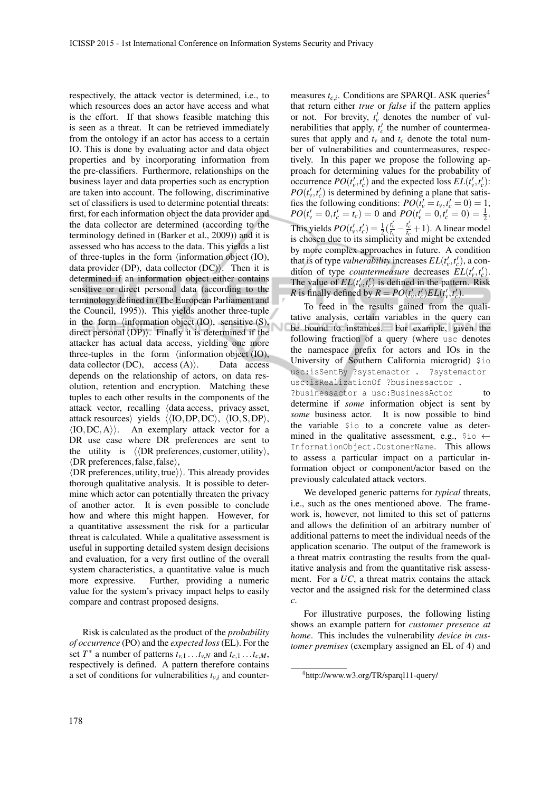respectively, the attack vector is determined, i.e., to which resources does an actor have access and what is the effort. If that shows feasible matching this is seen as a threat. It can be retrieved immediately from the ontology if an actor has access to a certain IO. This is done by evaluating actor and data object properties and by incorporating information from the pre-classifiers. Furthermore, relationships on the business layer and data properties such as encryption are taken into account. The following, discriminative set of classifiers is used to determine potential threats: first, for each information object the data provider and the data collector are determined (according to the terminology defined in (Barker et al., 2009)) and it is assessed who has access to the data. This yields a list of three-tuples in the form  $\langle$  information object (IO), data provider (DP), data collector  $(DC)$ ). Then it is determined if an information object either contains sensitive or direct personal data (according to the terminology defined in (The European Parliament and the Council, 1995)). This yields another three-tuple in the form  $\langle$  information object (IO), sensitive (S), direct personal  $(DP)$ . Finally it is determined if the attacker has actual data access, yielding one more three-tuples in the form  $\langle$  information object (IO), data collector (DC),  $\arccos( A)$ . Data  $\arccos( A)$ . depends on the relationship of actors, on data resolution, retention and encryption. Matching these tuples to each other results in the components of the attack vector, recalling (data access, privacy asset, attack resources) yields  $\langle \langle \text{IO}, \text{DP}, \text{DC} \rangle$ ,  $\langle \text{IO}, \text{S}, \text{DP} \rangle$ ,  $\langle$ IO,DC,A $\rangle$ . An exemplary attack vector for a DR use case where DR preferences are sent to the utility is  $\langle \langle \text{DR preferences}, \text{customer}, \text{utility} \rangle,$  $\langle$ DR preferences, false, false $\rangle$ ,

 $\langle$ DR preferences, utility, true $\rangle$ ). This already provides thorough qualitative analysis. It is possible to determine which actor can potentially threaten the privacy of another actor. It is even possible to conclude how and where this might happen. However, for a quantitative assessment the risk for a particular threat is calculated. While a qualitative assessment is useful in supporting detailed system design decisions and evaluation, for a very first outline of the overall system characteristics, a quantitative value is much more expressive. Further, providing a numeric value for the system's privacy impact helps to easily compare and contrast proposed designs.

Risk is calculated as the product of the *probability of occurrence* (PO) and the *expected loss*(EL). For the set  $T^*$  a number of patterns  $t_{v,1} \ldots t_{v,N}$  and  $t_{c,1} \ldots t_{c,M}$ , respectively is defined. A pattern therefore contains a set of conditions for vulnerabilities  $t_{v,i}$  and counter-

measures  $t_{c,i}$ . Conditions are SPARQL ASK queries<sup>4</sup> that return either *true* or *false* if the pattern applies or not. For brevity,  $t_v'$  denotes the number of vulnerabilities that apply,  $t'_c$  the number of countermeasures that apply and  $t<sub>v</sub>$  and  $t<sub>c</sub>$  denote the total number of vulnerabilities and countermeasures, respectively. In this paper we propose the following approach for determining values for the probability of occurrence  $PO(t'_{v}, t'_{c})$  and the expected loss  $EL(t'_{v}, t'_{c})$ :  $PO(t'_{v}, t'_{c})$  is determined by defining a plane that satisfies the following conditions:  $PO(t'_v = t_v, t'_c = 0) = 1$ ,  $PO(t'_{v} = 0, t'_{c} = t_{c}) = 0$  and  $PO(t'_{v} = 0, t'_{c} = 0) = \frac{1}{2}$ . This yields  $PO(t'_{v}, t'_{c}) = \frac{1}{2}(\frac{t'_{v}}{t_{v}} - \frac{t'_{c}}{t_{c}} + 1)$ . A linear model is chosen due to its simplicity and might be extended by more complex approaches in future. A condition that is of type *vulnerability* increases  $EL(t'_{v}, t'_{c})$ , a condition of type *countermeasure* decreases  $EL(t'_{v}, t'_{c})$ . The value of  $EL(t'_{v}, t'_{c})$  is defined in the pattern. Risk *R* is finally defined by  $R = PO(t'_v, t'_c)EL(t'_v, t'_c)$ .

To feed in the results gained from the qualitative analysis, certain variables in the query can be bound to instances. For example, given the following fraction of a query (where usc denotes the namespace prefix for actors and IOs in the University of Southern California microgrid) \$io usc:isSentBy ?systemactor . ?systemactor usc:isRealizationOf ?businessactor . ?businessactor a usc:BusinessActor to determine if *some* information object is sent by *some* business actor. It is now possible to bind the variable \$io to a concrete value as determined in the qualitative assessment, e.g.,  $$io \leftarrow$ InformationObject.CustomerName. This allows to assess a particular impact on a particular information object or component/actor based on the previously calculated attack vectors.

We developed generic patterns for *typical* threats, i.e., such as the ones mentioned above. The framework is, however, not limited to this set of patterns and allows the definition of an arbitrary number of additional patterns to meet the individual needs of the application scenario. The output of the framework is a threat matrix contrasting the results from the qualitative analysis and from the quantitative risk assessment. For a *UC*, a threat matrix contains the attack vector and the assigned risk for the determined class *c*.

For illustrative purposes, the following listing shows an example pattern for *customer presence at home*. This includes the vulnerability *device in customer premises* (exemplary assigned an EL of 4) and

<sup>4</sup>http://www.w3.org/TR/sparql11-query/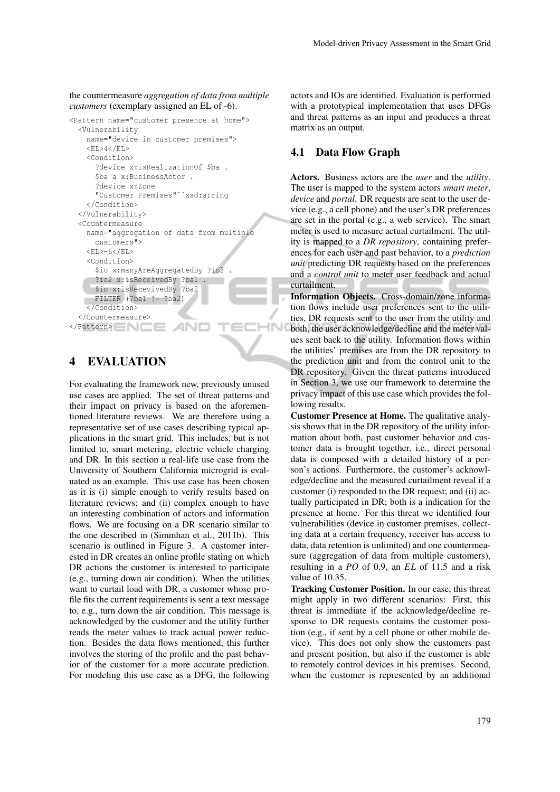the countermeasure *aggregation of data from multiple customers* (exemplary assigned an EL of -6).

```
<Pattern name="customer presence at home">
 <Vulnerability
    name="device in customer premises">
    <EL>4</EL>
    <Condition>
      ?device x:isRealizationOf $ba .
      $ba a x:BusinessActor .
      ?device x:Zone
      "Customer Premises"ˆˆxsd:string
    </Condition>
  </Vulnerability>
  <Countermeasure
   name="aggregation of data from multiple
     customers">
    <EL>-6</EL>
    <Condition>
      $io x:manyAreAggregatedBy ?io2
      ?io2 x:isReceivedBy ?ba1 .
     $io x:isRecevivedBy ?ba2
   FILTER (?ba1 != ?ba2)
    </Condition>
  </Countermeasure>
</Pattern>
\blacksquare
```
## 4 EVALUATION

For evaluating the framework new, previously unused use cases are applied. The set of threat patterns and their impact on privacy is based on the aforementioned literature reviews. We are therefore using a representative set of use cases describing typical applications in the smart grid. This includes, but is not limited to, smart metering, electric vehicle charging and DR. In this section a real-life use case from the University of Southern California microgrid is evaluated as an example. This use case has been chosen as it is (i) simple enough to verify results based on literature reviews; and (ii) complex enough to have an interesting combination of actors and information flows. We are focusing on a DR scenario similar to the one described in (Simmhan et al., 2011b). This scenario is outlined in Figure 3. A customer interested in DR creates an online profile stating on which DR actions the customer is interested to participate (e.g., turning down air condition). When the utilities want to curtail load with DR, a customer whose profile fits the current requirements is sent a text message to, e.g., turn down the air condition. This message is acknowledged by the customer and the utility further reads the meter values to track actual power reduction. Besides the data flows mentioned, this further involves the storing of the profile and the past behavior of the customer for a more accurate prediction. For modeling this use case as a DFG, the following actors and IOs are identified. Evaluation is performed with a prototypical implementation that uses DFGs and threat patterns as an input and produces a threat matrix as an output.

#### 4.1 Data Flow Graph

1N

Actors. Business actors are the *user* and the *utility*. The user is mapped to the system actors *smart meter*, *device* and *portal*. DR requests are sent to the user device (e.g., a cell phone) and the user's DR preferences are set in the portal (e.g., a web service). The smart meter is used to measure actual curtailment. The utility is mapped to a *DR repository*, containing preferences for each user and past behavior, to a *prediction unit* predicting DR requests based on the preferences and a *control unit* to meter user feedback and actual curtailment.

Information Objects. Cross-domain/zone information flows include user preferences sent to the utilities, DR requests sent to the user from the utility and both, the user acknowledge/decline and the meter values sent back to the utility. Information flows within the utilities' premises are from the DR repository to the prediction unit and from the control unit to the DR repository. Given the threat patterns introduced in Section 3, we use our framework to determine the privacy impact of this use case which provides the following results.

Customer Presence at Home. The qualitative analysis shows that in the DR repository of the utility information about both, past customer behavior and customer data is brought together, i.e., direct personal data is composed with a detailed history of a person's actions. Furthermore, the customer's acknowledge/decline and the measured curtailment reveal if a customer (i) responded to the DR request; and (ii) actually participated in DR; both is a indication for the presence at home. For this threat we identified four vulnerabilities (device in customer premises, collecting data at a certain frequency, receiver has access to data, data retention is unlimited) and one countermeasure (aggregation of data from multiple customers), resulting in a *PO* of 0.9, an *EL* of 11.5 and a risk value of 10.35.

Tracking Customer Position. In our case, this threat might apply in two different scenarios: First, this threat is immediate if the acknowledge/decline response to DR requests contains the customer position (e.g., if sent by a cell phone or other mobile device). This does not only show the customers past and present position, but also if the customer is able to remotely control devices in his premises. Second, when the customer is represented by an additional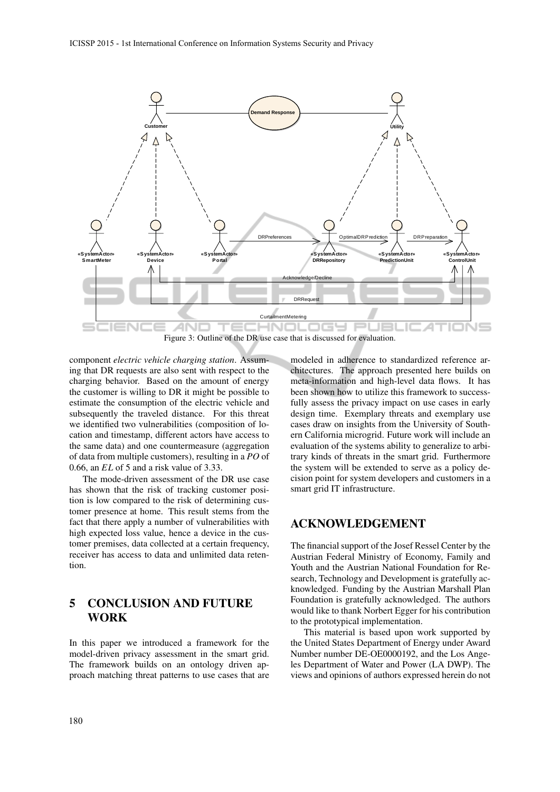

component *electric vehicle charging station*. Assuming that DR requests are also sent with respect to the charging behavior. Based on the amount of energy the customer is willing to DR it might be possible to estimate the consumption of the electric vehicle and subsequently the traveled distance. For this threat we identified two vulnerabilities (composition of location and timestamp, different actors have access to the same data) and one countermeasure (aggregation of data from multiple customers), resulting in a *PO* of 0.66, an *EL* of 5 and a risk value of 3.33.

The mode-driven assessment of the DR use case has shown that the risk of tracking customer position is low compared to the risk of determining customer presence at home. This result stems from the fact that there apply a number of vulnerabilities with high expected loss value, hence a device in the customer premises, data collected at a certain frequency, receiver has access to data and unlimited data retention.

# 5 CONCLUSION AND FUTURE WORK

In this paper we introduced a framework for the model-driven privacy assessment in the smart grid. The framework builds on an ontology driven approach matching threat patterns to use cases that are

modeled in adherence to standardized reference architectures. The approach presented here builds on meta-information and high-level data flows. It has been shown how to utilize this framework to successfully assess the privacy impact on use cases in early design time. Exemplary threats and exemplary use cases draw on insights from the University of Southern California microgrid. Future work will include an evaluation of the systems ability to generalize to arbitrary kinds of threats in the smart grid. Furthermore the system will be extended to serve as a policy decision point for system developers and customers in a smart grid IT infrastructure.

### ACKNOWLEDGEMENT

The financial support of the Josef Ressel Center by the Austrian Federal Ministry of Economy, Family and Youth and the Austrian National Foundation for Research, Technology and Development is gratefully acknowledged. Funding by the Austrian Marshall Plan Foundation is gratefully acknowledged. The authors would like to thank Norbert Egger for his contribution to the prototypical implementation.

This material is based upon work supported by the United States Department of Energy under Award Number number DE-OE0000192, and the Los Angeles Department of Water and Power (LA DWP). The views and opinions of authors expressed herein do not